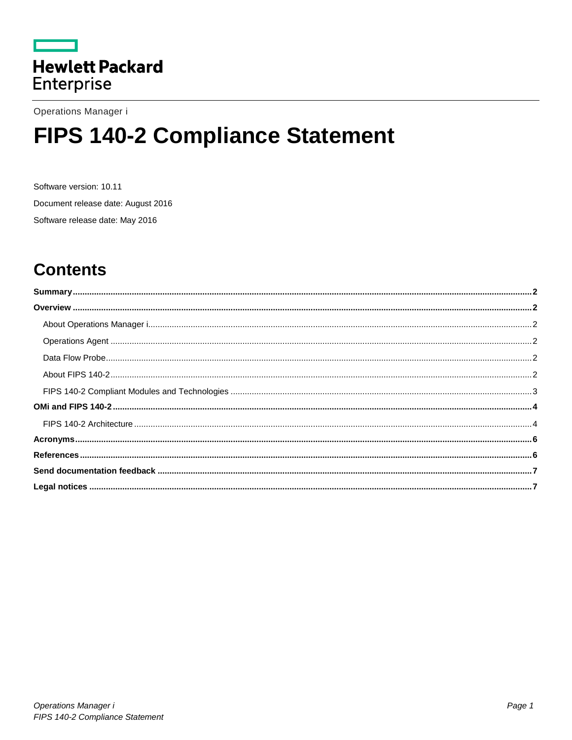

Operations Manager i

# FIPS 140-2 Compliance Statement

Software version: 10.11 Document release date: August 2016 Software release date: May 2016

# **Contents**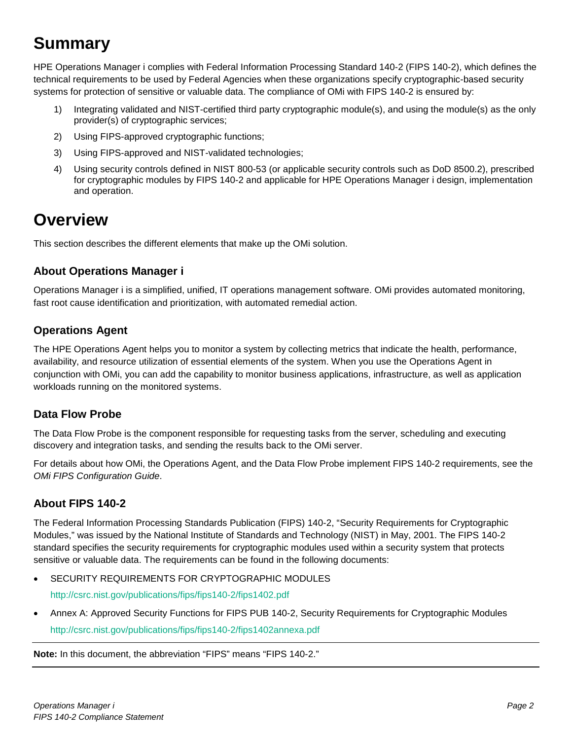# <span id="page-1-0"></span>**Summary**

HPE Operations Manager i complies with Federal Information Processing Standard 140-2 (FIPS 140-2), which defines the technical requirements to be used by Federal Agencies when these organizations specify cryptographic-based security systems for protection of sensitive or valuable data. The compliance of OMi with FIPS 140-2 is ensured by:

- 1) Integrating validated and NIST-certified third party cryptographic module(s), and using the module(s) as the only provider(s) of cryptographic services;
- 2) Using FIPS-approved cryptographic functions;
- 3) Using FIPS-approved and NIST-validated technologies;
- 4) Using security controls defined in NIST 800-53 (or applicable security controls such as DoD 8500.2), prescribed for cryptographic modules by FIPS 140-2 and applicable for HPE Operations Manager i design, implementation and operation.

# <span id="page-1-1"></span>**Overview**

This section describes the different elements that make up the OMi solution.

# <span id="page-1-2"></span>**About Operations Manager i**

Operations Manager i is a simplified, unified, IT operations management software. OMi provides automated monitoring, fast root cause identification and prioritization, with automated remedial action.

# <span id="page-1-3"></span>**Operations Agent**

The HPE Operations Agent helps you to monitor a system by collecting metrics that indicate the health, performance, availability, and resource utilization of essential elements of the system. When you use the Operations Agent in conjunction with OMi, you can add the capability to monitor business applications, infrastructure, as well as application workloads running on the monitored systems.

# <span id="page-1-4"></span>**Data Flow Probe**

The Data Flow Probe is the component responsible for requesting tasks from the server, scheduling and executing discovery and integration tasks, and sending the results back to the OMi server.

For details about how OMi, the Operations Agent, and the Data Flow Probe implement FIPS 140-2 requirements, see the *OMi FIPS Configuration Guide*.

# <span id="page-1-5"></span>**About FIPS 140-2**

The Federal Information Processing Standards Publication (FIPS) 140-2, "Security Requirements for Cryptographic Modules," was issued by the National Institute of Standards and Technology (NIST) in May, 2001. The FIPS 140-2 standard specifies the security requirements for cryptographic modules used within a security system that protects sensitive or valuable data. The requirements can be found in the following documents:

- SECURITY REQUIREMENTS FOR CRYPTOGRAPHIC MODULES <http://csrc.nist.gov/publications/fips/fips140-2/fips1402.pdf>
- Annex A: Approved Security Functions for FIPS PUB 140-2, Security Requirements for Cryptographic Modules <http://csrc.nist.gov/publications/fips/fips140-2/fips1402annexa.pdf>

**Note:** In this document, the abbreviation "FIPS" means "FIPS 140-2."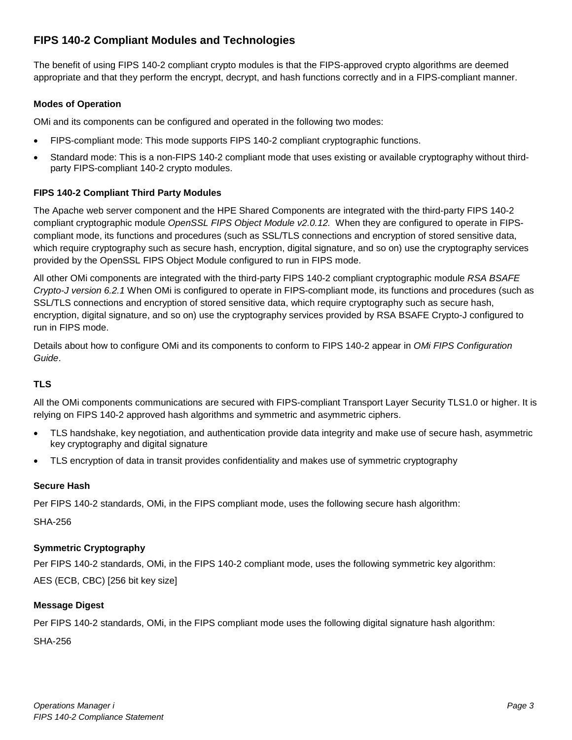# <span id="page-2-0"></span>**FIPS 140-2 Compliant Modules and Technologies**

The benefit of using FIPS 140-2 compliant crypto modules is that the FIPS-approved crypto algorithms are deemed appropriate and that they perform the encrypt, decrypt, and hash functions correctly and in a FIPS-compliant manner.

### **Modes of Operation**

OMi and its components can be configured and operated in the following two modes:

- FIPS-compliant mode: This mode supports FIPS 140-2 compliant cryptographic functions.
- Standard mode: This is a non-FIPS 140-2 compliant mode that uses existing or available cryptography without thirdparty FIPS-compliant 140-2 crypto modules.

### **FIPS 140-2 Compliant Third Party Modules**

The Apache web server component and the HPE Shared Components are integrated with the third-party FIPS 140-2 compliant cryptographic module *OpenSSL FIPS Object Module v2.0.12.* When they are configured to operate in FIPScompliant mode, its functions and procedures (such as SSL/TLS connections and encryption of stored sensitive data, which require cryptography such as secure hash, encryption, digital signature, and so on) use the cryptography services provided by the OpenSSL FIPS Object Module configured to run in FIPS mode.

All other OMi components are integrated with the third-party FIPS 140-2 compliant cryptographic module *RSA BSAFE Crypto-J version 6.2.1* When OMi is configured to operate in FIPS-compliant mode, its functions and procedures (such as SSL/TLS connections and encryption of stored sensitive data, which require cryptography such as secure hash, encryption, digital signature, and so on) use the cryptography services provided by RSA BSAFE Crypto-J configured to run in FIPS mode.

Details about how to configure OMi and its components to conform to FIPS 140-2 appear in *OMi FIPS Configuration Guide*.

### **TLS**

All the OMi components communications are secured with FIPS-compliant Transport Layer Security TLS1.0 or higher. It is relying on FIPS 140-2 approved hash algorithms and symmetric and asymmetric ciphers.

- TLS handshake, key negotiation, and authentication provide data integrity and make use of secure hash, asymmetric key cryptography and digital signature
- TLS encryption of data in transit provides confidentiality and makes use of symmetric cryptography

### **Secure Hash**

Per FIPS 140-2 standards, OMi, in the FIPS compliant mode, uses the following secure hash algorithm:

SHA-256

### **Symmetric Cryptography**

Per FIPS 140-2 standards, OMi, in the FIPS 140-2 compliant mode, uses the following symmetric key algorithm: AES (ECB, CBC) [256 bit key size]

### **Message Digest**

Per FIPS 140-2 standards, OMi, in the FIPS compliant mode uses the following digital signature hash algorithm:

SHA-256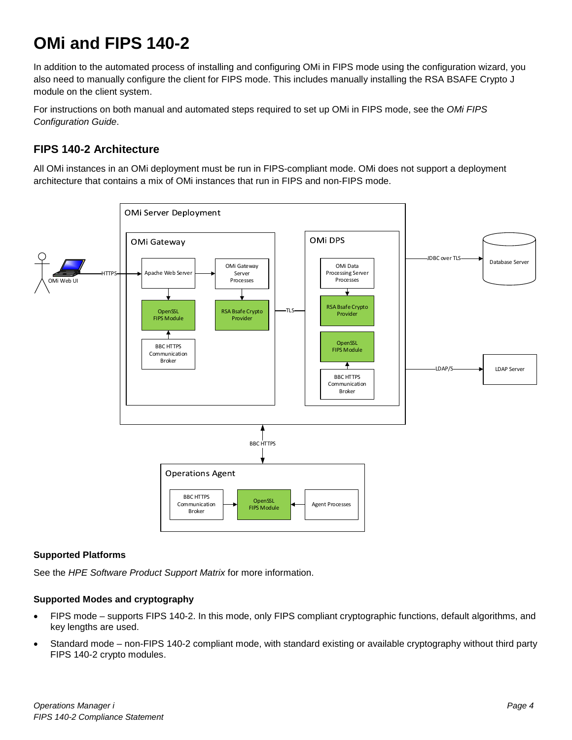# <span id="page-3-0"></span>**OMi and FIPS 140-2**

In addition to the automated process of installing and configuring OMi in FIPS mode using the configuration wizard, you also need to manually configure the client for FIPS mode. This includes manually installing the RSA BSAFE Crypto J module on the client system.

For instructions on both manual and automated steps required to set up OMi in FIPS mode, see the *OMi FIPS Configuration Guide*.

# <span id="page-3-1"></span>**FIPS 140-2 Architecture**

All OMi instances in an OMi deployment must be run in FIPS-compliant mode. OMi does not support a deployment architecture that contains a mix of OMi instances that run in FIPS and non-FIPS mode.



### **Supported Platforms**

See the *HPE Software Product Support Matrix* for more information.

### **Supported Modes and cryptography**

- FIPS mode supports FIPS 140-2. In this mode, only FIPS compliant cryptographic functions, default algorithms, and key lengths are used.
- Standard mode non-FIPS 140-2 compliant mode, with standard existing or available cryptography without third party FIPS 140-2 crypto modules.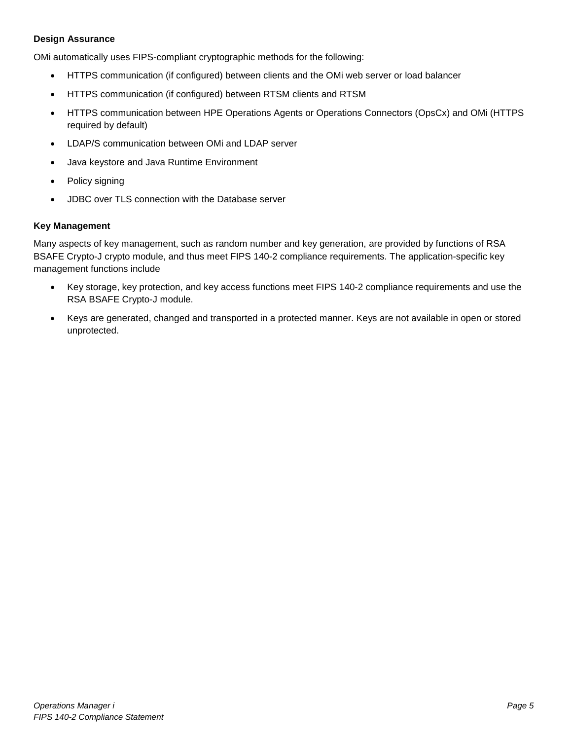### **Design Assurance**

OMi automatically uses FIPS-compliant cryptographic methods for the following:

- HTTPS communication (if configured) between clients and the OMi web server or load balancer
- HTTPS communication (if configured) between RTSM clients and RTSM
- HTTPS communication between HPE Operations Agents or Operations Connectors (OpsCx) and OMi (HTTPS required by default)
- LDAP/S communication between OMi and LDAP server
- Java keystore and Java Runtime Environment
- Policy signing
- JDBC over TLS connection with the Database server

#### **Key Management**

Many aspects of key management, such as random number and key generation, are provided by functions of RSA BSAFE Crypto-J crypto module, and thus meet FIPS 140-2 compliance requirements. The application-specific key management functions include

- Key storage, key protection, and key access functions meet FIPS 140-2 compliance requirements and use the RSA BSAFE Crypto-J module.
- Keys are generated, changed and transported in a protected manner. Keys are not available in open or stored unprotected.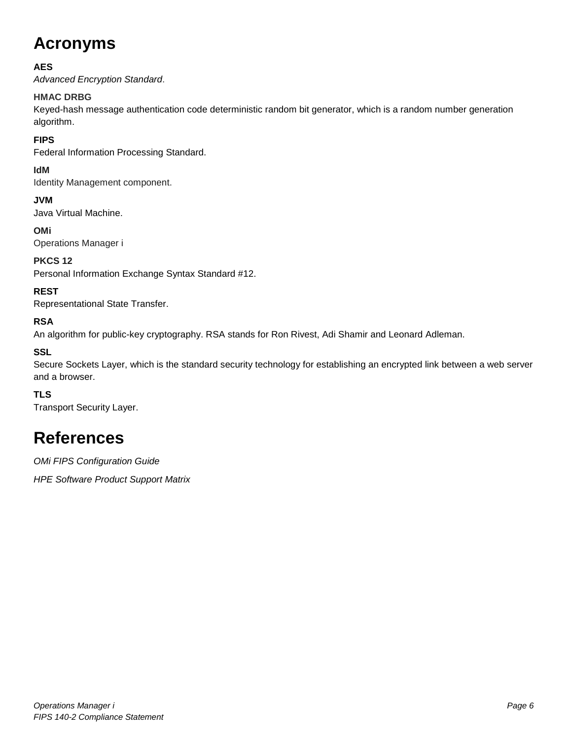# <span id="page-5-0"></span>**Acronyms**

### **AES**

*Advanced Encryption Standard*.

### **HMAC DRBG**

Keyed-hash message authentication code deterministic random bit generator, which is a random number generation algorithm.

### **FIPS**

Federal Information Processing Standard.

### **IdM**

Identity Management component.

**JVM** Java Virtual Machine.

**OMi** Operations Manager i

### **PKCS 12**

Personal Information Exchange Syntax Standard #12.

### **REST**

Representational State Transfer.

### **RSA**

An algorithm for public-key cryptography. RSA stands for Ron Rivest, Adi Shamir and Leonard Adleman.

### **SSL**

Secure Sockets Layer, which is the standard security technology for establishing an encrypted link between a web server and a browser.

### **TLS**

Transport Security Layer.

# <span id="page-5-1"></span>**References**

*OMi FIPS Configuration Guide*

*HPE Software Product Support Matrix*